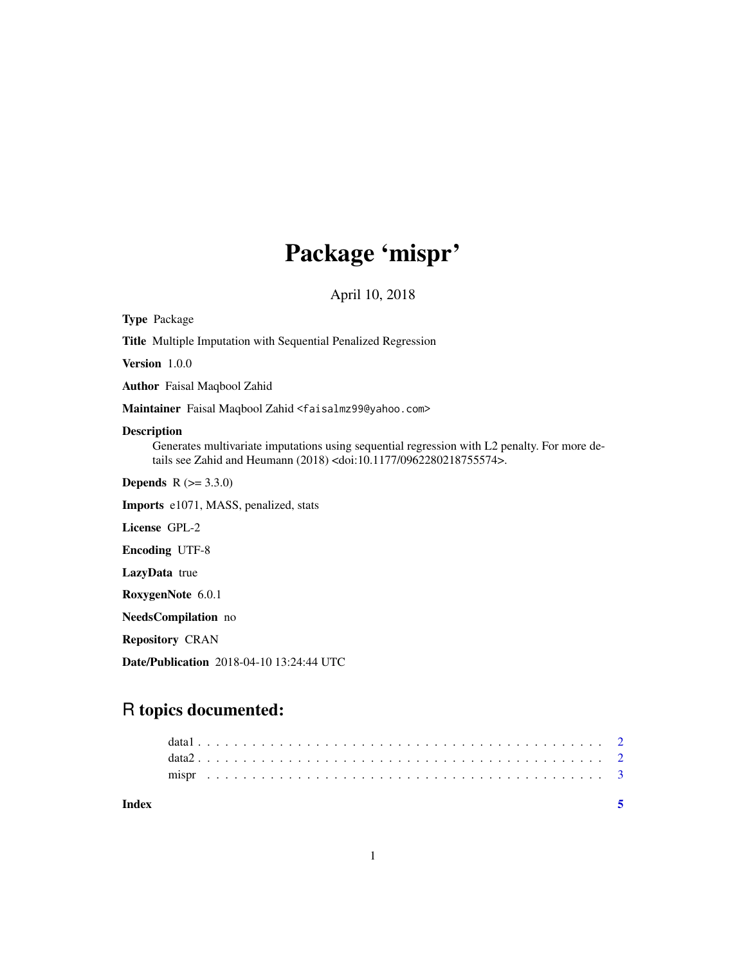## Package 'mispr'

April 10, 2018

| <b>Type Package</b>                                                                                                                                                                                       |
|-----------------------------------------------------------------------------------------------------------------------------------------------------------------------------------------------------------|
| <b>Title</b> Multiple Imputation with Sequential Penalized Regression                                                                                                                                     |
| Version 1.0.0                                                                                                                                                                                             |
| <b>Author</b> Faisal Magbool Zahid                                                                                                                                                                        |
| Maintainer Faisal Maqbool Zahid <faisalmz99@yahoo.com></faisalmz99@yahoo.com>                                                                                                                             |
| <b>Description</b><br>Generates multivariate imputations using sequential regression with L2 penalty. For more de-<br>tails see Zahid and Heumann (2018) <doi:10.1177 0962280218755574="">.</doi:10.1177> |
| <b>Depends</b> $R (= 3.3.0)$                                                                                                                                                                              |
| <b>Imports</b> e1071, MASS, penalized, stats                                                                                                                                                              |
| License GPL-2                                                                                                                                                                                             |
| <b>Encoding UTF-8</b>                                                                                                                                                                                     |
| <b>LazyData</b> true                                                                                                                                                                                      |
| RoxygenNote 6.0.1                                                                                                                                                                                         |
| NeedsCompilation no                                                                                                                                                                                       |
| <b>Repository CRAN</b>                                                                                                                                                                                    |
| <b>Date/Publication</b> 2018-04-10 13:24:44 UTC                                                                                                                                                           |

### R topics documented: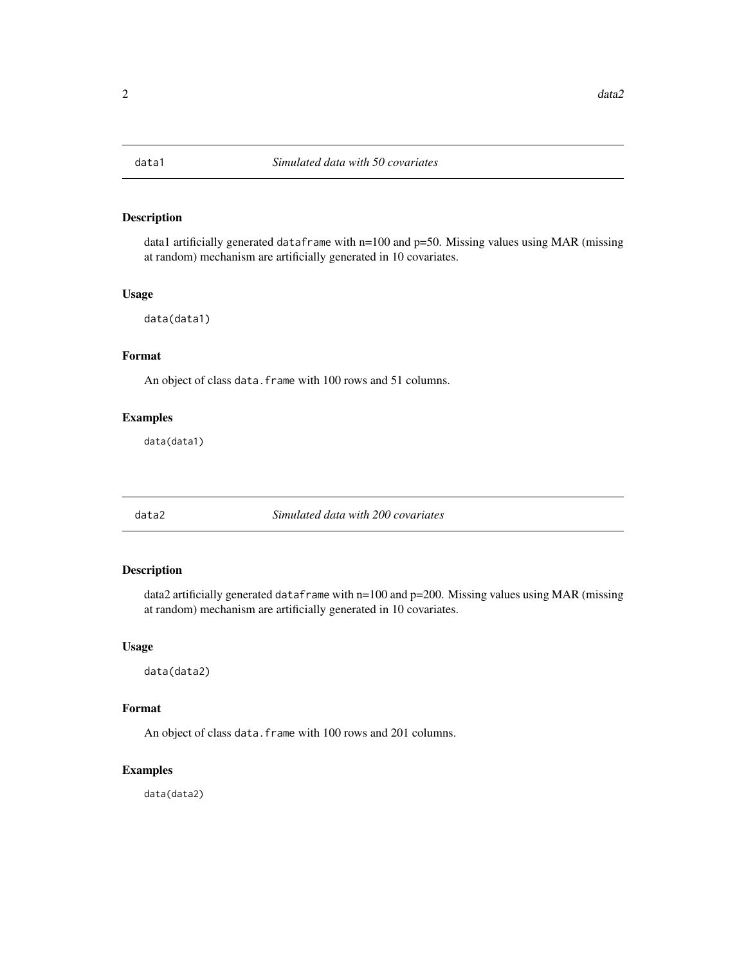<span id="page-1-0"></span>

#### Description

data1 artificially generated dataframe with  $n=100$  and  $p=50$ . Missing values using MAR (missing at random) mechanism are artificially generated in 10 covariates.

#### Usage

data(data1)

#### Format

An object of class data. frame with 100 rows and 51 columns.

#### Examples

data(data1)

data2 *Simulated data with 200 covariates*

#### Description

data2 artificially generated dataframe with n=100 and p=200. Missing values using MAR (missing at random) mechanism are artificially generated in 10 covariates.

#### Usage

data(data2)

#### Format

An object of class data. frame with 100 rows and 201 columns.

#### Examples

data(data2)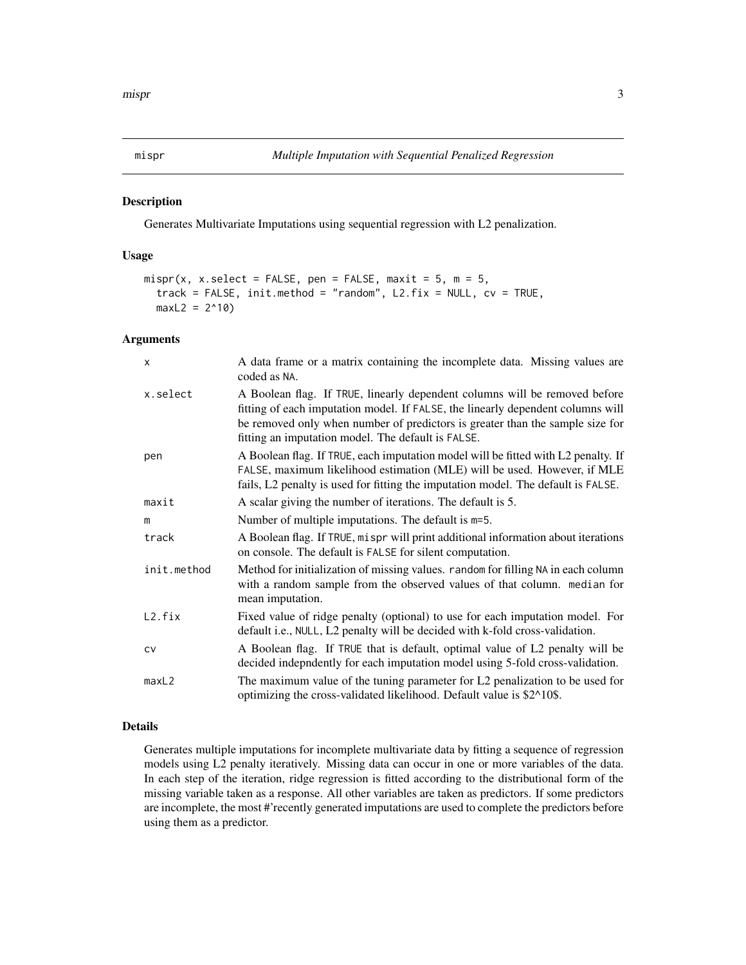<span id="page-2-0"></span>

#### Description

Generates Multivariate Imputations using sequential regression with L2 penalization.

#### Usage

```
mispr(x, x.select = FALSE, pen = FALSE, maxit = 5, m = 5,
  track = FALSE, init method = "random", L2.fix = NULL, cv = TRUE,maxL2 = 2^10
```
#### Arguments

| $\times$    | A data frame or a matrix containing the incomplete data. Missing values are<br>coded as NA.                                                                                                                                                                                                          |
|-------------|------------------------------------------------------------------------------------------------------------------------------------------------------------------------------------------------------------------------------------------------------------------------------------------------------|
| x.select    | A Boolean flag. If TRUE, linearly dependent columns will be removed before<br>fitting of each imputation model. If FALSE, the linearly dependent columns will<br>be removed only when number of predictors is greater than the sample size for<br>fitting an imputation model. The default is FALSE. |
| pen         | A Boolean flag. If TRUE, each imputation model will be fitted with L2 penalty. If<br>FALSE, maximum likelihood estimation (MLE) will be used. However, if MLE<br>fails, L2 penalty is used for fitting the imputation model. The default is FALSE.                                                   |
| maxit       | A scalar giving the number of iterations. The default is 5.                                                                                                                                                                                                                                          |
| m           | Number of multiple imputations. The default is m=5.                                                                                                                                                                                                                                                  |
| track       | A Boolean flag. If TRUE, mispr will print additional information about iterations<br>on console. The default is FALSE for silent computation.                                                                                                                                                        |
| init.method | Method for initialization of missing values. random for filling NA in each column<br>with a random sample from the observed values of that column. median for<br>mean imputation.                                                                                                                    |
| L2.fix      | Fixed value of ridge penalty (optional) to use for each imputation model. For<br>default i.e., NULL, L2 penalty will be decided with k-fold cross-validation.                                                                                                                                        |
| <b>CV</b>   | A Boolean flag. If TRUE that is default, optimal value of L2 penalty will be<br>decided indepndently for each imputation model using 5-fold cross-validation.                                                                                                                                        |
| maxL2       | The maximum value of the tuning parameter for L2 penalization to be used for<br>optimizing the cross-validated likelihood. Default value is \$2^10\$.                                                                                                                                                |

#### Details

Generates multiple imputations for incomplete multivariate data by fitting a sequence of regression models using L2 penalty iteratively. Missing data can occur in one or more variables of the data. In each step of the iteration, ridge regression is fitted according to the distributional form of the missing variable taken as a response. All other variables are taken as predictors. If some predictors are incomplete, the most #'recently generated imputations are used to complete the predictors before using them as a predictor.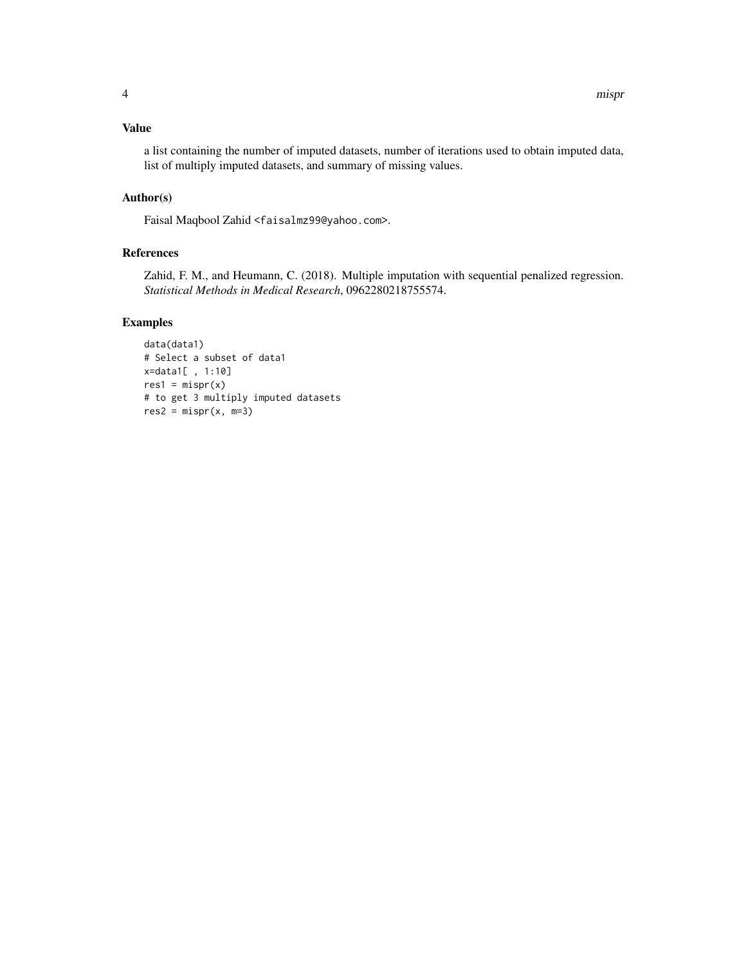a list containing the number of imputed datasets, number of iterations used to obtain imputed data, list of multiply imputed datasets, and summary of missing values.

#### Author(s)

Faisal Maqbool Zahid <faisalmz99@yahoo.com>.

#### References

Zahid, F. M., and Heumann, C. (2018). Multiple imputation with sequential penalized regression. *Statistical Methods in Medical Research*, 0962280218755574.

#### Examples

```
data(data1)
# Select a subset of data1
x=data1[ , 1:10]
res1 = mispr(x)# to get 3 multiply imputed datasets
res2 = mispr(x, m=3)
```